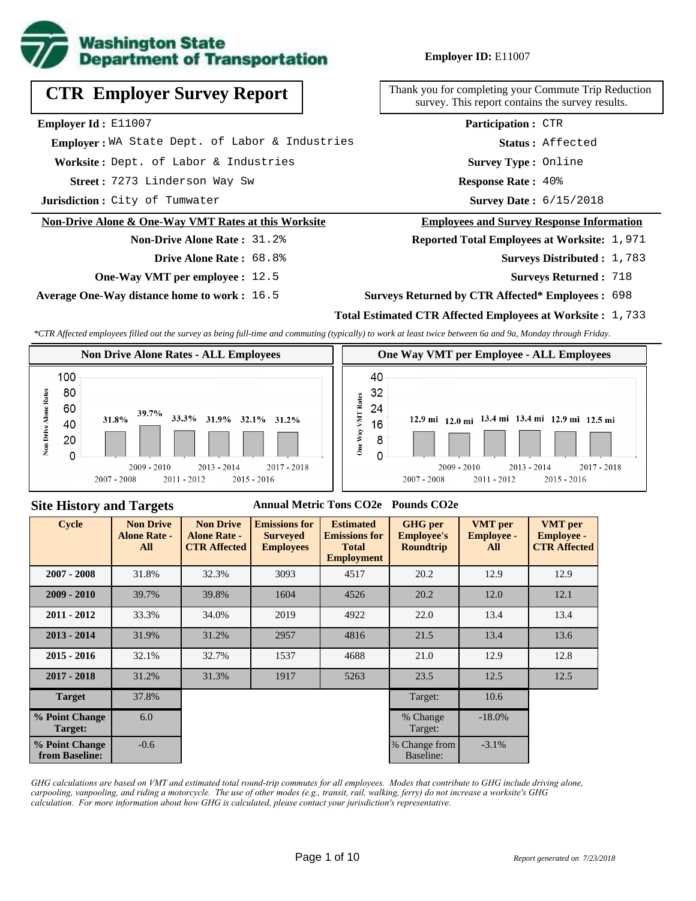

# **CTR Employer Survey Report**

**Employer Id :** E11007

 **Employer :** WA State Dept. of Labor & Industries

**Worksite :** Dept. of Labor & Industries

7273 Linderson Way Sw **Response Rate : Street :**

**Jurisdiction :** City of Tumwater

#### **Non-Drive Alone & One-Way VMT Rates at this Worksite**

# **Non-Drive Alone Rate :** 31.2%

- **Drive Alone Rate :** 68.8%
- **One-Way VMT per employee :** 12.5

**Average One-Way distance home to work :** 16.5

Thank you for completing your Commute Trip Reduction survey. This report contains the survey results.

> **Survey Type :** Online **Status :** Affected **Participation :** CTR

Response Rate: 40%

Survey Date: 6/15/2018

#### **Employees and Survey Response Information**

**Reported Total Employees at Worksite: 1,971** 

- Surveys Distributed : 1,783
	- **Surveys Returned :** 718

#### **Surveys Returned by CTR Affected\* Employees :** 698

## **Total Estimated CTR Affected Employees at Worksite :** 1,733

*\*CTR Affected employees filled out the survey as being full-time and commuting (typically) to work at least twice between 6a and 9a, Monday through Friday.*



#### **Site History and Targets**

## **Annual Metric Tons CO2e Pounds CO2e**

| <b>Cycle</b>                     | <b>Non Drive</b><br><b>Alone Rate -</b><br>All | <b>Non Drive</b><br><b>Alone Rate -</b><br><b>CTR Affected</b> | <b>Emissions for</b><br><b>Surveyed</b><br><b>Employees</b> | <b>Estimated</b><br><b>Emissions for</b><br><b>Total</b><br><b>Employment</b> | <b>GHG</b> per<br><b>Employee's</b><br><b>Roundtrip</b> | <b>VMT</b> per<br><b>Employee -</b><br>All | <b>VMT</b> per<br><b>Employee -</b><br><b>CTR Affected</b> |
|----------------------------------|------------------------------------------------|----------------------------------------------------------------|-------------------------------------------------------------|-------------------------------------------------------------------------------|---------------------------------------------------------|--------------------------------------------|------------------------------------------------------------|
| $2007 - 2008$                    | 31.8%                                          | 32.3%                                                          | 3093                                                        | 4517                                                                          | 20.2                                                    | 12.9                                       | 12.9                                                       |
| $2009 - 2010$                    | 39.7%                                          | 39.8%                                                          | 1604                                                        | 4526                                                                          | 20.2                                                    | 12.0                                       | 12.1                                                       |
| $2011 - 2012$                    | 33.3%                                          | 34.0%                                                          | 2019                                                        | 4922                                                                          | 22.0                                                    | 13.4                                       | 13.4                                                       |
| $2013 - 2014$                    | 31.9%                                          | 31.2%                                                          | 2957                                                        | 4816                                                                          | 21.5                                                    | 13.4                                       | 13.6                                                       |
| $2015 - 2016$                    | 32.1%                                          | 32.7%                                                          | 1537                                                        | 4688                                                                          | 21.0                                                    | 12.9                                       | 12.8                                                       |
| $2017 - 2018$                    | 31.2%                                          | 31.3%                                                          | 1917                                                        | 5263                                                                          | 23.5                                                    | 12.5                                       | 12.5                                                       |
| <b>Target</b>                    | 37.8%                                          |                                                                |                                                             |                                                                               | Target:                                                 | 10.6                                       |                                                            |
| % Point Change<br>Target:        | 6.0                                            |                                                                |                                                             |                                                                               | % Change<br>Target:                                     | $-18.0\%$                                  |                                                            |
| % Point Change<br>from Baseline: | $-0.6$                                         |                                                                |                                                             |                                                                               | % Change from<br>Baseline:                              | $-3.1\%$                                   |                                                            |

*GHG calculations are based on VMT and estimated total round-trip commutes for all employees. Modes that contribute to GHG include driving alone, carpooling, vanpooling, and riding a motorcycle. The use of other modes (e.g., transit, rail, walking, ferry) do not increase a worksite's GHG calculation. For more information about how GHG is calculated, please contact your jurisdiction's representative.*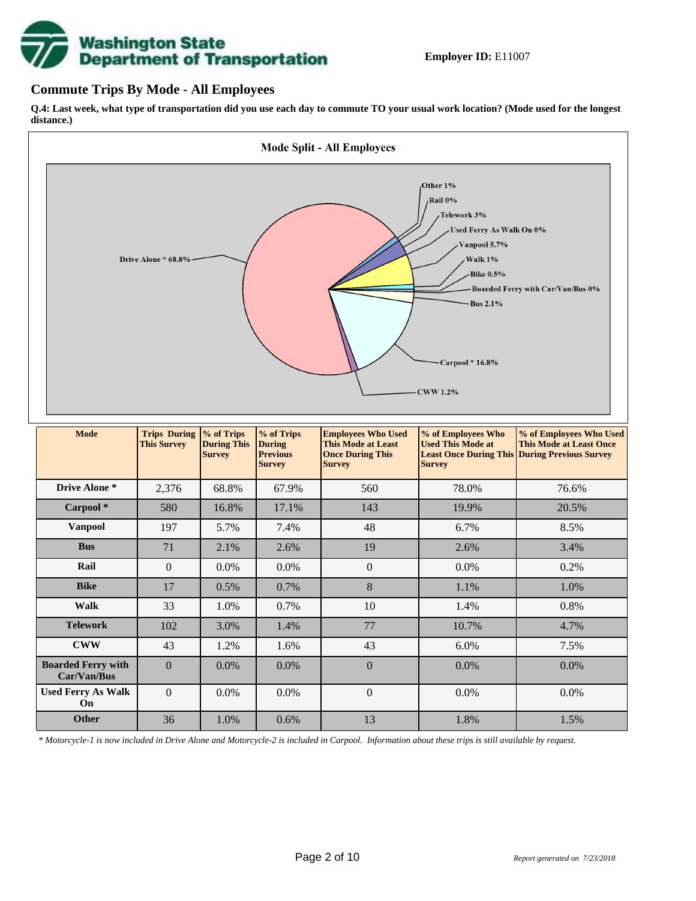# **Washington State<br>Department of Transportation**

## **Commute Trips By Mode - All Employees**

**Used Ferry As Walk On**

**Q.4: Last week, what type of transportation did you use each day to commute TO your usual work location? (Mode used for the longest distance.)**



*\* Motorcycle-1 is now included in Drive Alone and Motorcycle-2 is included in Carpool. Information about these trips is still available by request.*

**Other** 36 1.0% 0.6% 13 1.8% 1.5%

 $0 \t 0.0\% \t 0.0\% \t 0.0\%$  0.0% 0.0% 0.0%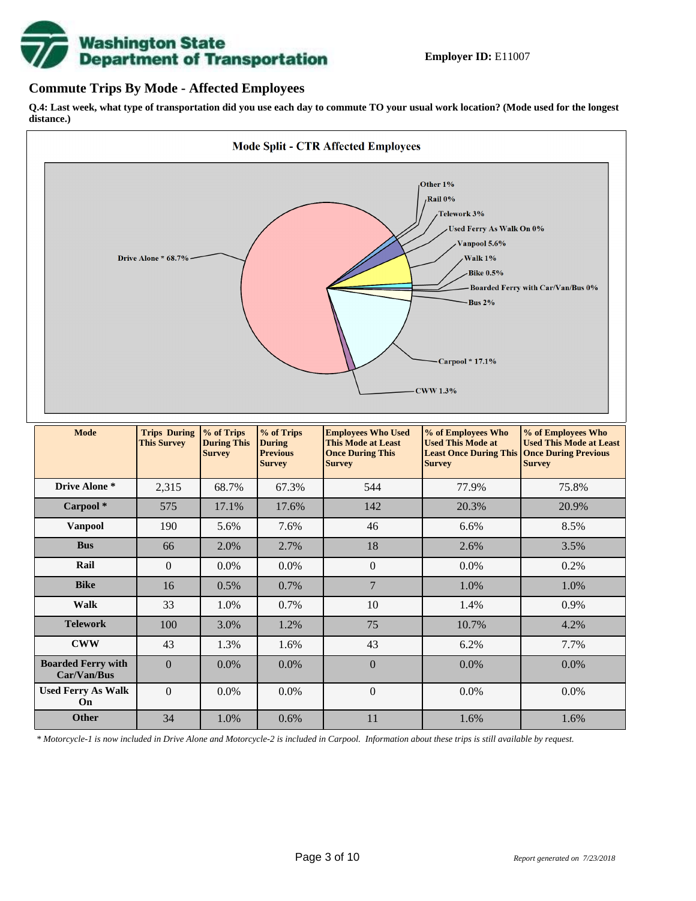

## **Commute Trips By Mode - Affected Employees**

**Q.4: Last week, what type of transportation did you use each day to commute TO your usual work location? (Mode used for the longest distance.)**



*\* Motorcycle-1 is now included in Drive Alone and Motorcycle-2 is included in Carpool. Information about these trips is still available by request.*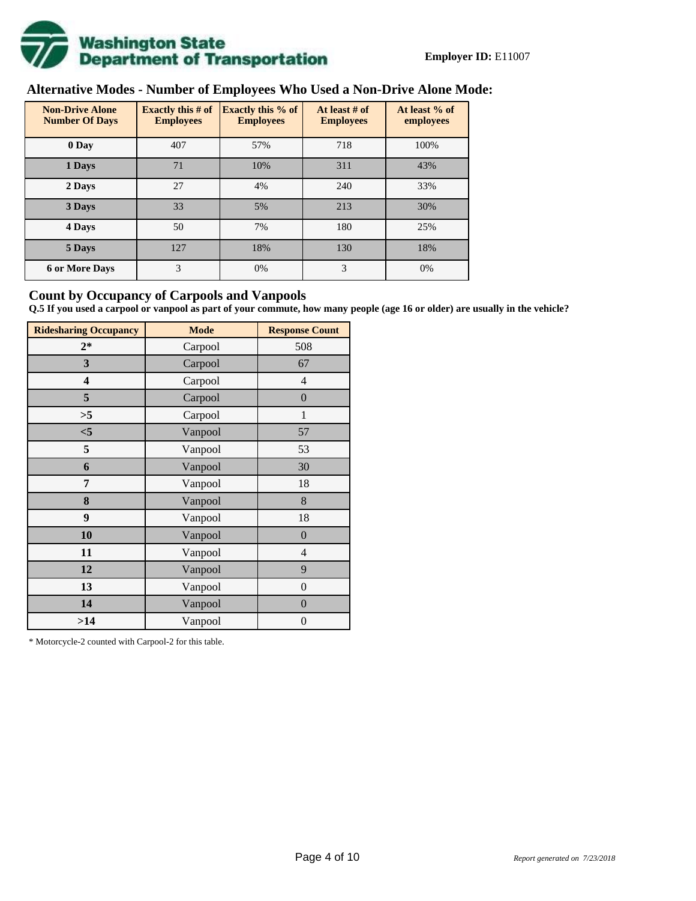

# **Alternative Modes - Number of Employees Who Used a Non-Drive Alone Mode:**

| <b>Non-Drive Alone</b><br><b>Number Of Days</b> | Exactly this $#$ of<br><b>Employees</b> | <b>Exactly this % of</b><br><b>Employees</b> | At least # of<br><b>Employees</b> | At least % of<br>employees |
|-------------------------------------------------|-----------------------------------------|----------------------------------------------|-----------------------------------|----------------------------|
| 0 Day                                           | 407                                     | 57%                                          | 718                               | 100%                       |
| 1 Days                                          | 71                                      | 10%                                          | 311                               | 43%                        |
| 2 Days                                          | 27                                      | 4%                                           | 240                               | 33%                        |
| 3 Days                                          | 33                                      | 5%                                           | 213                               | 30%                        |
| 4 Days                                          | 50                                      | 7%                                           | 180                               | 25%                        |
| 5 Days                                          | 127                                     | 18%                                          | 130                               | 18%                        |
| <b>6 or More Days</b>                           | 3                                       | 0%                                           | 3                                 | 0%                         |

## **Count by Occupancy of Carpools and Vanpools**

**Q.5 If you used a carpool or vanpool as part of your commute, how many people (age 16 or older) are usually in the vehicle?**

| <b>Ridesharing Occupancy</b> | <b>Mode</b> | <b>Response Count</b> |
|------------------------------|-------------|-----------------------|
| $2*$                         | Carpool     | 508                   |
| 3                            | Carpool     | 67                    |
| 4                            | Carpool     | 4                     |
| 5                            | Carpool     | $\boldsymbol{0}$      |
| >5                           | Carpool     | 1                     |
| $<$ 5                        | Vanpool     | 57                    |
| 5                            | Vanpool     | 53                    |
| 6                            | Vanpool     | 30                    |
| 7                            | Vanpool     | 18                    |
| 8                            | Vanpool     | 8                     |
| 9                            | Vanpool     | 18                    |
| 10                           | Vanpool     | $\boldsymbol{0}$      |
| 11                           | Vanpool     | $\overline{4}$        |
| 12                           | Vanpool     | 9                     |
| 13                           | Vanpool     | $\boldsymbol{0}$      |
| 14                           | Vanpool     | $\overline{0}$        |
| >14                          | Vanpool     | $\boldsymbol{0}$      |

\* Motorcycle-2 counted with Carpool-2 for this table.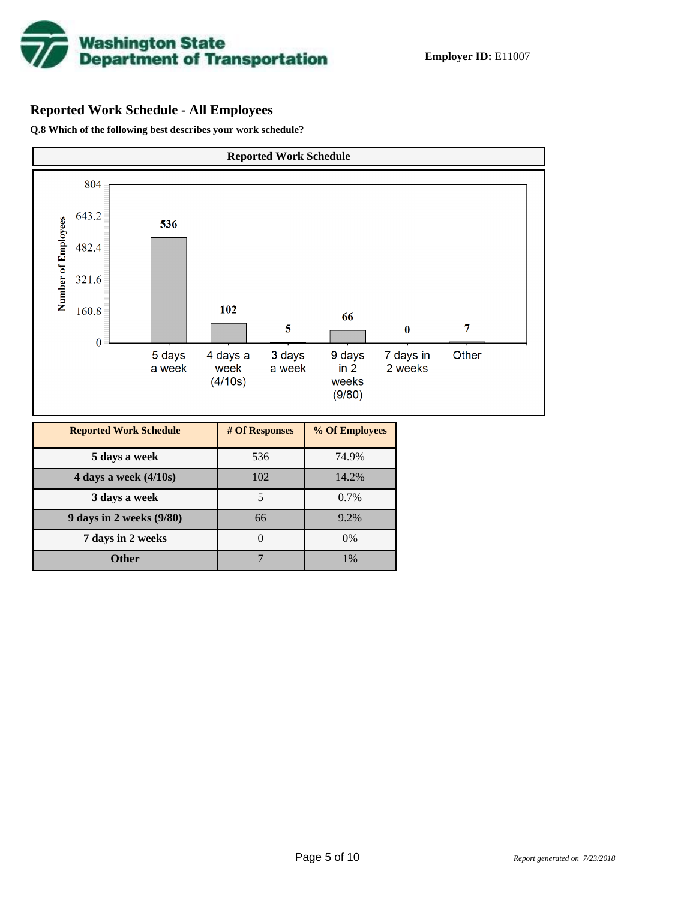

# **Reported Work Schedule - All Employees**

**Q.8 Which of the following best describes your work schedule?**

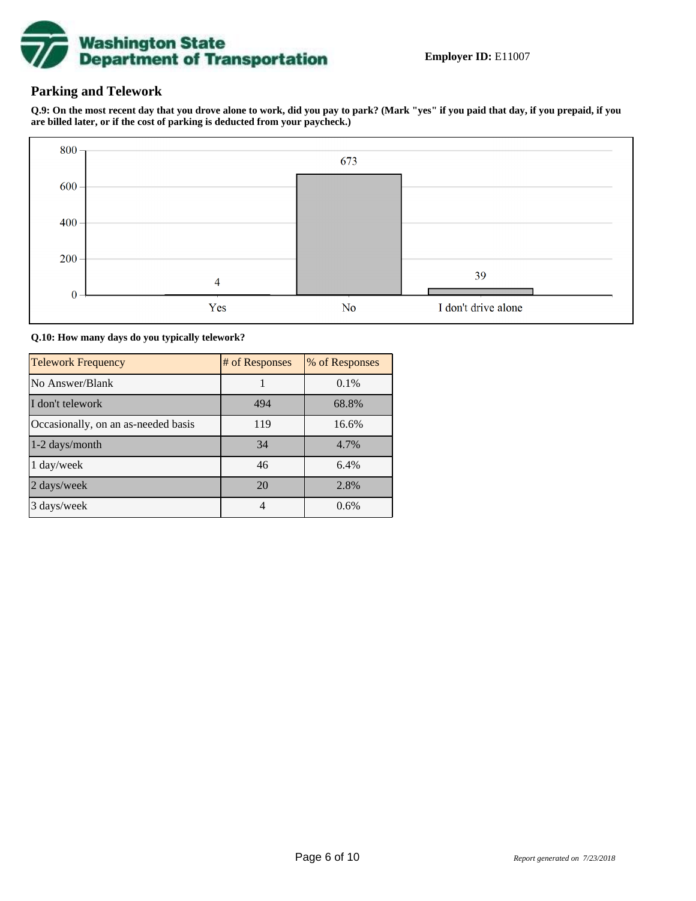

## **Parking and Telework**

**Q.9: On the most recent day that you drove alone to work, did you pay to park? (Mark "yes" if you paid that day, if you prepaid, if you are billed later, or if the cost of parking is deducted from your paycheck.)**



**Q.10: How many days do you typically telework?**

| <b>Telework Frequency</b>           | # of Responses | % of Responses |
|-------------------------------------|----------------|----------------|
| No Answer/Blank                     |                | 0.1%           |
| I don't telework                    | 494            | 68.8%          |
| Occasionally, on an as-needed basis | 119            | 16.6%          |
| 1-2 days/month                      | 34             | 4.7%           |
| 1 day/week                          | 46             | 6.4%           |
| 2 days/week                         | 20             | 2.8%           |
| 3 days/week                         | 4              | 0.6%           |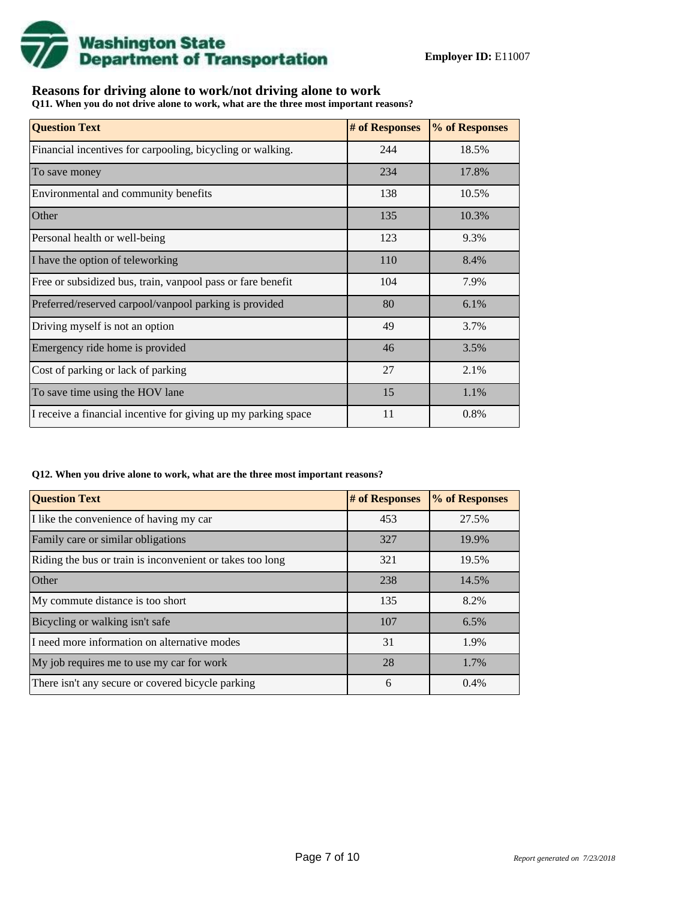

# **Reasons for driving alone to work/not driving alone to work**

**Q11. When you do not drive alone to work, what are the three most important reasons?**

| <b>Question Text</b>                                           | # of Responses | % of Responses |
|----------------------------------------------------------------|----------------|----------------|
| Financial incentives for carpooling, bicycling or walking.     | 244            | 18.5%          |
| To save money                                                  | 234            | 17.8%          |
| Environmental and community benefits                           | 138            | 10.5%          |
| Other                                                          | 135            | 10.3%          |
| Personal health or well-being                                  | 123            | 9.3%           |
| I have the option of teleworking                               | 110            | 8.4%           |
| Free or subsidized bus, train, vanpool pass or fare benefit    | 104            | 7.9%           |
| Preferred/reserved carpool/vanpool parking is provided         | 80             | 6.1%           |
| Driving myself is not an option                                | 49             | 3.7%           |
| Emergency ride home is provided                                | 46             | 3.5%           |
| Cost of parking or lack of parking                             | 27             | 2.1%           |
| To save time using the HOV lane                                | 15             | 1.1%           |
| I receive a financial incentive for giving up my parking space | 11             | 0.8%           |

#### **Q12. When you drive alone to work, what are the three most important reasons?**

| <b>Question Text</b>                                      | # of Responses | % of Responses |
|-----------------------------------------------------------|----------------|----------------|
| I like the convenience of having my car                   | 453            | 27.5%          |
| Family care or similar obligations                        | 327            | 19.9%          |
| Riding the bus or train is inconvenient or takes too long | 321            | 19.5%          |
| <b>Other</b>                                              | 238            | 14.5%          |
| My commute distance is too short                          | 135            | 8.2%           |
| Bicycling or walking isn't safe                           | 107            | 6.5%           |
| I need more information on alternative modes              | 31             | 1.9%           |
| My job requires me to use my car for work                 | 28             | 1.7%           |
| There isn't any secure or covered bicycle parking         | 6              | 0.4%           |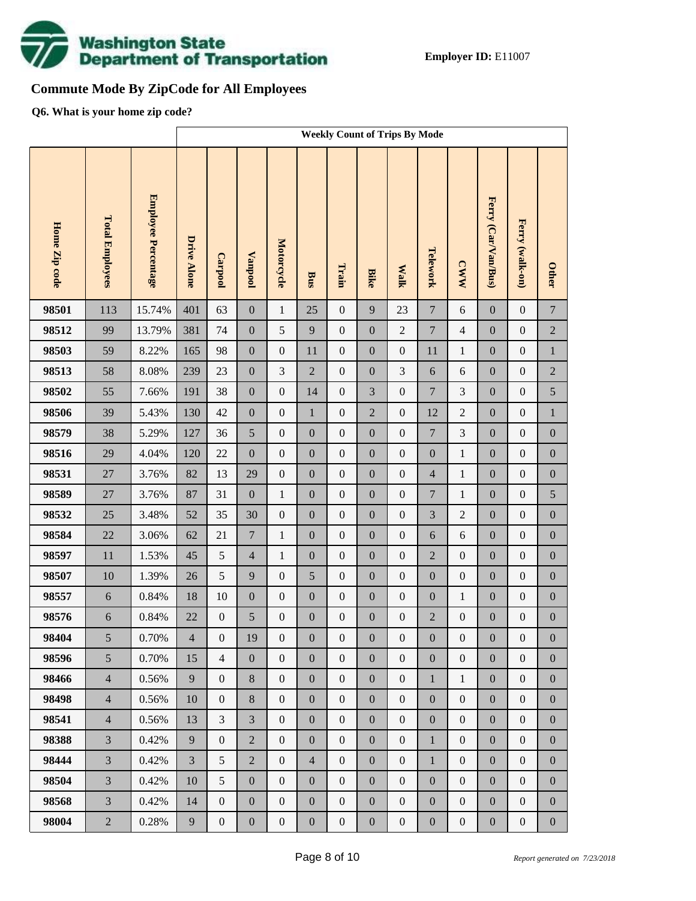

# **Commute Mode By ZipCode for All Employees**

**Q6. What is your home zip code?**

|               |                        |                            |                    | <b>Weekly Count of Trips By Mode</b> |                  |                  |                  |                  |                  |                  |                  |                  |                     |                  |                  |
|---------------|------------------------|----------------------------|--------------------|--------------------------------------|------------------|------------------|------------------|------------------|------------------|------------------|------------------|------------------|---------------------|------------------|------------------|
| Home Zip code | <b>Total Employees</b> | <b>Employee Percentage</b> | <b>Drive Alone</b> | Carpool                              | <b>Vanpool</b>   | Motorcycle       | <b>Bus</b>       | Train            | <b>Bike</b>      | <b>Walk</b>      | Telework         | <b>CWW</b>       | Ferry (Car/Van/Bus) | Ferry (walk-on)  | <b>Other</b>     |
| 98501         | 113                    | 15.74%                     | 401                | 63                                   | $\boldsymbol{0}$ | $\mathbf{1}$     | 25               | $\boldsymbol{0}$ | 9                | 23               | $\overline{7}$   | $\sqrt{6}$       | $\mathbf{0}$        | $\boldsymbol{0}$ | $\boldsymbol{7}$ |
| 98512         | 99                     | 13.79%                     | 381                | 74                                   | $\boldsymbol{0}$ | 5                | 9                | $\boldsymbol{0}$ | $\boldsymbol{0}$ | $\overline{2}$   | $\boldsymbol{7}$ | $\overline{4}$   | $\boldsymbol{0}$    | $\boldsymbol{0}$ | $\sqrt{2}$       |
| 98503         | 59                     | 8.22%                      | 165                | 98                                   | $\boldsymbol{0}$ | $\boldsymbol{0}$ | 11               | $\boldsymbol{0}$ | $\boldsymbol{0}$ | $\boldsymbol{0}$ | 11               | $\mathbf{1}$     | $\boldsymbol{0}$    | $\boldsymbol{0}$ | $\,1$            |
| 98513         | 58                     | 8.08%                      | 239                | 23                                   | $\boldsymbol{0}$ | 3                | $\overline{2}$   | $\boldsymbol{0}$ | $\mathbf{0}$     | 3                | 6                | 6                | $\boldsymbol{0}$    | $\boldsymbol{0}$ | $\sqrt{2}$       |
| 98502         | 55                     | 7.66%                      | 191                | 38                                   | $\boldsymbol{0}$ | $\boldsymbol{0}$ | 14               | $\boldsymbol{0}$ | 3                | $\boldsymbol{0}$ | $\boldsymbol{7}$ | 3                | $\boldsymbol{0}$    | $\boldsymbol{0}$ | 5                |
| 98506         | 39                     | 5.43%                      | 130                | 42                                   | $\boldsymbol{0}$ | $\boldsymbol{0}$ | $\mathbf{1}$     | $\boldsymbol{0}$ | $\overline{2}$   | $\boldsymbol{0}$ | 12               | $\overline{c}$   | $\boldsymbol{0}$    | $\boldsymbol{0}$ | $\,1$            |
| 98579         | 38                     | 5.29%                      | 127                | 36                                   | 5                | $\boldsymbol{0}$ | $\boldsymbol{0}$ | $\boldsymbol{0}$ | $\boldsymbol{0}$ | $\boldsymbol{0}$ | $\boldsymbol{7}$ | $\mathfrak{Z}$   | $\boldsymbol{0}$    | $\boldsymbol{0}$ | $\boldsymbol{0}$ |
| 98516         | 29                     | 4.04%                      | 120                | 22                                   | $\boldsymbol{0}$ | $\boldsymbol{0}$ | $\boldsymbol{0}$ | $\boldsymbol{0}$ | $\overline{0}$   | $\boldsymbol{0}$ | $\boldsymbol{0}$ | $\mathbf{1}$     | $\boldsymbol{0}$    | $\boldsymbol{0}$ | $\boldsymbol{0}$ |
| 98531         | $27\,$                 | 3.76%                      | 82                 | 13                                   | 29               | $\boldsymbol{0}$ | $\boldsymbol{0}$ | $\boldsymbol{0}$ | $\boldsymbol{0}$ | $\boldsymbol{0}$ | $\overline{4}$   | $\mathbf{1}$     | $\boldsymbol{0}$    | $\boldsymbol{0}$ | $\boldsymbol{0}$ |
| 98589         | $27\,$                 | 3.76%                      | 87                 | 31                                   | $\boldsymbol{0}$ | $\mathbf{1}$     | $\boldsymbol{0}$ | $\boldsymbol{0}$ | $\overline{0}$   | $\boldsymbol{0}$ | $\boldsymbol{7}$ | $\mathbf{1}$     | $\boldsymbol{0}$    | $\boldsymbol{0}$ | 5                |
| 98532         | 25                     | 3.48%                      | 52                 | 35                                   | 30               | $\boldsymbol{0}$ | $\boldsymbol{0}$ | $\boldsymbol{0}$ | $\boldsymbol{0}$ | $\boldsymbol{0}$ | 3                | $\overline{c}$   | $\boldsymbol{0}$    | $\boldsymbol{0}$ | $\boldsymbol{0}$ |
| 98584         | 22                     | 3.06%                      | 62                 | 21                                   | $\boldsymbol{7}$ | $\mathbf{1}$     | $\boldsymbol{0}$ | $\boldsymbol{0}$ | $\boldsymbol{0}$ | $\boldsymbol{0}$ | 6                | 6                | $\boldsymbol{0}$    | $\boldsymbol{0}$ | $\boldsymbol{0}$ |
| 98597         | $11\,$                 | 1.53%                      | 45                 | 5                                    | $\overline{4}$   | $\mathbf{1}$     | $\boldsymbol{0}$ | $\boldsymbol{0}$ | $\boldsymbol{0}$ | $\boldsymbol{0}$ | $\overline{2}$   | $\boldsymbol{0}$ | $\boldsymbol{0}$    | $\boldsymbol{0}$ | $\boldsymbol{0}$ |
| 98507         | 10                     | 1.39%                      | 26                 | 5                                    | 9                | $\boldsymbol{0}$ | 5                | $\boldsymbol{0}$ | $\overline{0}$   | $\boldsymbol{0}$ | $\boldsymbol{0}$ | $\boldsymbol{0}$ | $\boldsymbol{0}$    | $\boldsymbol{0}$ | $\boldsymbol{0}$ |
| 98557         | $\sqrt{6}$             | 0.84%                      | 18                 | 10                                   | $\boldsymbol{0}$ | $\boldsymbol{0}$ | $\boldsymbol{0}$ | $\boldsymbol{0}$ | $\boldsymbol{0}$ | $\boldsymbol{0}$ | $\boldsymbol{0}$ | $\mathbf{1}$     | $\boldsymbol{0}$    | $\boldsymbol{0}$ | $\boldsymbol{0}$ |
| 98576         | 6                      | 0.84%                      | 22                 | $\boldsymbol{0}$                     | 5                | $\boldsymbol{0}$ | $\boldsymbol{0}$ | $\boldsymbol{0}$ | $\mathbf{0}$     | $\boldsymbol{0}$ | $\overline{2}$   | $\boldsymbol{0}$ | $\boldsymbol{0}$    | $\boldsymbol{0}$ | $\boldsymbol{0}$ |
| 98404         | 5                      | $0.70\%$                   | $\overline{4}$     | $\mathbf{0}$                         | 19               | $\boldsymbol{0}$ | $\boldsymbol{0}$ | $\boldsymbol{0}$ | $\boldsymbol{0}$ | $\boldsymbol{0}$ | $\boldsymbol{0}$ | $\boldsymbol{0}$ | $\boldsymbol{0}$    | $\boldsymbol{0}$ | $\boldsymbol{0}$ |
| 98596         | 5                      | 0.70%                      | 15                 | $\overline{4}$                       | $\boldsymbol{0}$ | $\boldsymbol{0}$ | $\boldsymbol{0}$ | $\boldsymbol{0}$ | $\overline{0}$   | $\boldsymbol{0}$ | $\boldsymbol{0}$ | $\boldsymbol{0}$ | $\boldsymbol{0}$    | $\boldsymbol{0}$ | $\overline{0}$   |
| 98466         | $\overline{4}$         | 0.56%                      | 9                  | $\boldsymbol{0}$                     | $8\,$            | $\boldsymbol{0}$ | $\boldsymbol{0}$ | $\boldsymbol{0}$ | $\overline{0}$   | $\boldsymbol{0}$ | $\mathbf{1}$     | $\mathbf{1}$     | $\boldsymbol{0}$    | $\boldsymbol{0}$ | $\boldsymbol{0}$ |
| 98498         | $\overline{4}$         | 0.56%                      | 10                 | $\boldsymbol{0}$                     | $8\,$            | $\boldsymbol{0}$ | $\boldsymbol{0}$ | $\boldsymbol{0}$ | $\boldsymbol{0}$ | $\boldsymbol{0}$ | $\boldsymbol{0}$ | $\boldsymbol{0}$ | $\boldsymbol{0}$    | $\boldsymbol{0}$ | $\boldsymbol{0}$ |
| 98541         | $\overline{4}$         | 0.56%                      | 13                 | $\mathfrak{Z}$                       | $\overline{3}$   | $\boldsymbol{0}$ | $\boldsymbol{0}$ | $\boldsymbol{0}$ | $\overline{0}$   | $\boldsymbol{0}$ | $\boldsymbol{0}$ | $\boldsymbol{0}$ | $\boldsymbol{0}$    | $\boldsymbol{0}$ | $\boldsymbol{0}$ |
| 98388         | $\overline{3}$         | 0.42%                      | 9                  | $\boldsymbol{0}$                     | $\overline{2}$   | $\boldsymbol{0}$ | $\boldsymbol{0}$ | $\boldsymbol{0}$ | $\boldsymbol{0}$ | $\boldsymbol{0}$ | $\mathbf{1}$     | $\boldsymbol{0}$ | $\boldsymbol{0}$    | $\boldsymbol{0}$ | $\boldsymbol{0}$ |
| 98444         | $\overline{3}$         | 0.42%                      | $\overline{3}$     | 5                                    | $\overline{2}$   | $\boldsymbol{0}$ | $\overline{4}$   | $\mathbf{0}$     | $\overline{0}$   | $\boldsymbol{0}$ | $\mathbf{1}$     | $\boldsymbol{0}$ | $\boldsymbol{0}$    | $\boldsymbol{0}$ | $\boldsymbol{0}$ |
| 98504         | $\overline{3}$         | 0.42%                      | 10                 | 5                                    | $\boldsymbol{0}$ | $\boldsymbol{0}$ | $\boldsymbol{0}$ | $\boldsymbol{0}$ | $\boldsymbol{0}$ | $\boldsymbol{0}$ | $\boldsymbol{0}$ | $\boldsymbol{0}$ | $\boldsymbol{0}$    | $\boldsymbol{0}$ | $\boldsymbol{0}$ |
| 98568         | $\overline{3}$         | 0.42%                      | 14                 | $\boldsymbol{0}$                     | $\boldsymbol{0}$ | $\boldsymbol{0}$ | $\boldsymbol{0}$ | $\boldsymbol{0}$ | $\overline{0}$   | $\boldsymbol{0}$ | $\boldsymbol{0}$ | $\boldsymbol{0}$ | $\boldsymbol{0}$    | $\boldsymbol{0}$ | $\boldsymbol{0}$ |
| 98004         | $\overline{2}$         | 0.28%                      | $\overline{9}$     | $\boldsymbol{0}$                     | $\boldsymbol{0}$ | $\boldsymbol{0}$ | $\boldsymbol{0}$ | $\boldsymbol{0}$ | $\boldsymbol{0}$ | $\boldsymbol{0}$ | $\boldsymbol{0}$ | $\boldsymbol{0}$ | $\boldsymbol{0}$    | $\boldsymbol{0}$ | $\boldsymbol{0}$ |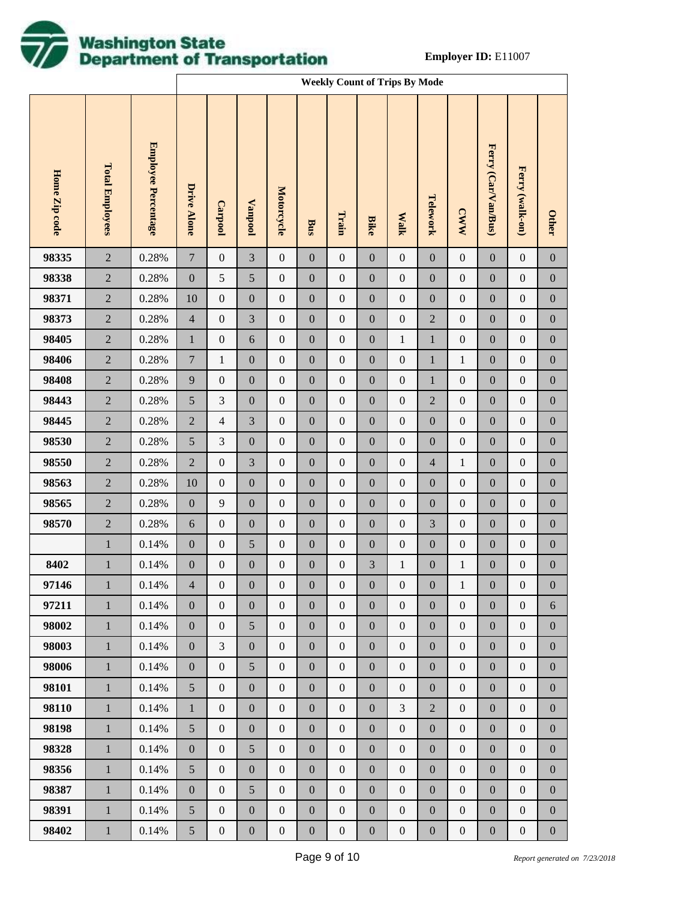

|               |                        |                     |                  | <b>Weekly Count of Trips By Mode</b> |                  |                  |                  |                  |                  |                  |                  |                  |                     |                  |                  |
|---------------|------------------------|---------------------|------------------|--------------------------------------|------------------|------------------|------------------|------------------|------------------|------------------|------------------|------------------|---------------------|------------------|------------------|
| Home Zip code | <b>Total Employees</b> | Employee Percentage | Drive Alone      | Carpool                              | <b>Lanpool</b>   | Motorcycle       | Bus              | Train            | <b>Bike</b>      | <b>Walk</b>      | Telework         | <b>CWW</b>       | Ferry (Car/Van/Bus) | Ferry (walk-on)  | <b>Other</b>     |
| 98335         | $\sqrt{2}$             | 0.28%               | $\boldsymbol{7}$ | $\boldsymbol{0}$                     | 3                | $\boldsymbol{0}$ | $\boldsymbol{0}$ | $\boldsymbol{0}$ | $\boldsymbol{0}$ | $\boldsymbol{0}$ | $\boldsymbol{0}$ | $\boldsymbol{0}$ | $\boldsymbol{0}$    | $\boldsymbol{0}$ | $\boldsymbol{0}$ |
| 98338         | $\sqrt{2}$             | 0.28%               | $\boldsymbol{0}$ | $\sqrt{5}$                           | 5                | $\boldsymbol{0}$ | $\boldsymbol{0}$ | $\boldsymbol{0}$ | $\boldsymbol{0}$ | $\boldsymbol{0}$ | $\boldsymbol{0}$ | $\boldsymbol{0}$ | $\boldsymbol{0}$    | $\boldsymbol{0}$ | $\boldsymbol{0}$ |
| 98371         | $\sqrt{2}$             | 0.28%               | 10               | $\boldsymbol{0}$                     | $\boldsymbol{0}$ | $\boldsymbol{0}$ | $\boldsymbol{0}$ | $\boldsymbol{0}$ | $\boldsymbol{0}$ | $\boldsymbol{0}$ | $\boldsymbol{0}$ | $\boldsymbol{0}$ | $\boldsymbol{0}$    | $\boldsymbol{0}$ | $\boldsymbol{0}$ |
| 98373         | $\sqrt{2}$             | 0.28%               | $\overline{4}$   | $\boldsymbol{0}$                     | 3                | $\boldsymbol{0}$ | $\boldsymbol{0}$ | $\boldsymbol{0}$ | $\boldsymbol{0}$ | $\boldsymbol{0}$ | $\sqrt{2}$       | $\boldsymbol{0}$ | $\boldsymbol{0}$    | $\boldsymbol{0}$ | $\boldsymbol{0}$ |
| 98405         | $\sqrt{2}$             | 0.28%               | $\mathbf{1}$     | $\boldsymbol{0}$                     | $\sqrt{6}$       | $\boldsymbol{0}$ | $\boldsymbol{0}$ | $\boldsymbol{0}$ | $\boldsymbol{0}$ | $\mathbf{1}$     | $\mathbf{1}$     | $\boldsymbol{0}$ | $\boldsymbol{0}$    | $\boldsymbol{0}$ | $\boldsymbol{0}$ |
| 98406         | $\sqrt{2}$             | 0.28%               | $\boldsymbol{7}$ | $\mathbf{1}$                         | $\boldsymbol{0}$ | $\boldsymbol{0}$ | $\boldsymbol{0}$ | $\boldsymbol{0}$ | $\boldsymbol{0}$ | $\boldsymbol{0}$ | $\,1$            | $\mathbf{1}$     | $\boldsymbol{0}$    | $\boldsymbol{0}$ | $\boldsymbol{0}$ |
| 98408         | $\sqrt{2}$             | 0.28%               | 9                | $\boldsymbol{0}$                     | $\boldsymbol{0}$ | $\boldsymbol{0}$ | $\boldsymbol{0}$ | $\boldsymbol{0}$ | $\boldsymbol{0}$ | $\boldsymbol{0}$ | $\,1$            | $\boldsymbol{0}$ | $\boldsymbol{0}$    | $\boldsymbol{0}$ | $\boldsymbol{0}$ |
| 98443         | $\sqrt{2}$             | 0.28%               | $\sqrt{5}$       | $\mathfrak{Z}$                       | $\boldsymbol{0}$ | $\boldsymbol{0}$ | $\boldsymbol{0}$ | $\boldsymbol{0}$ | $\boldsymbol{0}$ | $\boldsymbol{0}$ | $\sqrt{2}$       | $\boldsymbol{0}$ | $\boldsymbol{0}$    | $\boldsymbol{0}$ | $\boldsymbol{0}$ |
| 98445         | $\sqrt{2}$             | 0.28%               | $\sqrt{2}$       | $\overline{4}$                       | 3                | $\boldsymbol{0}$ | $\boldsymbol{0}$ | $\boldsymbol{0}$ | $\boldsymbol{0}$ | $\boldsymbol{0}$ | $\boldsymbol{0}$ | $\boldsymbol{0}$ | $\boldsymbol{0}$    | $\boldsymbol{0}$ | $\boldsymbol{0}$ |
| 98530         | $\sqrt{2}$             | 0.28%               | $\sqrt{5}$       | $\mathfrak{Z}$                       | $\boldsymbol{0}$ | $\boldsymbol{0}$ | $\boldsymbol{0}$ | $\boldsymbol{0}$ | $\boldsymbol{0}$ | $\boldsymbol{0}$ | $\boldsymbol{0}$ | $\boldsymbol{0}$ | $\boldsymbol{0}$    | $\boldsymbol{0}$ | $\boldsymbol{0}$ |
| 98550         | $\sqrt{2}$             | 0.28%               | $\overline{2}$   | $\boldsymbol{0}$                     | 3                | $\boldsymbol{0}$ | $\boldsymbol{0}$ | $\boldsymbol{0}$ | $\boldsymbol{0}$ | $\boldsymbol{0}$ | $\overline{4}$   | $\mathbf{1}$     | $\boldsymbol{0}$    | $\boldsymbol{0}$ | $\boldsymbol{0}$ |
| 98563         | $\sqrt{2}$             | 0.28%               | 10               | $\boldsymbol{0}$                     | $\boldsymbol{0}$ | $\boldsymbol{0}$ | $\boldsymbol{0}$ | $\boldsymbol{0}$ | $\boldsymbol{0}$ | $\boldsymbol{0}$ | $\boldsymbol{0}$ | $\boldsymbol{0}$ | $\boldsymbol{0}$    | $\boldsymbol{0}$ | $\boldsymbol{0}$ |
| 98565         | $\sqrt{2}$             | 0.28%               | $\boldsymbol{0}$ | $\overline{9}$                       | $\boldsymbol{0}$ | $\boldsymbol{0}$ | $\boldsymbol{0}$ | $\boldsymbol{0}$ | $\boldsymbol{0}$ | $\boldsymbol{0}$ | $\boldsymbol{0}$ | $\boldsymbol{0}$ | $\boldsymbol{0}$    | $\boldsymbol{0}$ | $\boldsymbol{0}$ |
| 98570         | $\sqrt{2}$             | 0.28%               | $\sqrt{6}$       | $\boldsymbol{0}$                     | $\boldsymbol{0}$ | $\boldsymbol{0}$ | $\boldsymbol{0}$ | $\boldsymbol{0}$ | $\boldsymbol{0}$ | $\boldsymbol{0}$ | $\mathfrak{Z}$   | $\boldsymbol{0}$ | $\boldsymbol{0}$    | $\boldsymbol{0}$ | $\boldsymbol{0}$ |
|               | $\mathbf{1}$           | 0.14%               | $\boldsymbol{0}$ | $\boldsymbol{0}$                     | 5                | $\boldsymbol{0}$ | $\boldsymbol{0}$ | $\boldsymbol{0}$ | $\boldsymbol{0}$ | $\boldsymbol{0}$ | $\boldsymbol{0}$ | $\boldsymbol{0}$ | $\boldsymbol{0}$    | $\boldsymbol{0}$ | $\boldsymbol{0}$ |
| 8402          | $\mathbf{1}$           | 0.14%               | $\boldsymbol{0}$ | $\boldsymbol{0}$                     | $\boldsymbol{0}$ | $\boldsymbol{0}$ | $\boldsymbol{0}$ | $\boldsymbol{0}$ | 3                | $\mathbf{1}$     | $\boldsymbol{0}$ | $\mathbf{1}$     | $\boldsymbol{0}$    | $\boldsymbol{0}$ | $\boldsymbol{0}$ |
| 97146         | $\mathbf{1}$           | 0.14%               | $\overline{4}$   | $\boldsymbol{0}$                     | $\boldsymbol{0}$ | $\boldsymbol{0}$ | $\boldsymbol{0}$ | $\boldsymbol{0}$ | $\boldsymbol{0}$ | $\boldsymbol{0}$ | $\boldsymbol{0}$ | $\,1$            | $\boldsymbol{0}$    | $\boldsymbol{0}$ | $\boldsymbol{0}$ |
| 97211         | $\mathbf{1}$           | 0.14%               | $\overline{0}$   | $\mathbf{0}$                         | $\mathbf{0}$     | $\mathbf{0}$     | $\boldsymbol{0}$ | $\boldsymbol{0}$ | $\mathbf{0}$     | $\boldsymbol{0}$ | $\boldsymbol{0}$ | $\boldsymbol{0}$ | $\boldsymbol{0}$    | $\mathbf{0}$     | $\sqrt{6}$       |
| 98002         | $\mathbf{1}$           | 0.14%               | $\boldsymbol{0}$ | $\boldsymbol{0}$                     | 5                | $\boldsymbol{0}$ | $\boldsymbol{0}$ | $\boldsymbol{0}$ | $\boldsymbol{0}$ | $\boldsymbol{0}$ | $\boldsymbol{0}$ | $\boldsymbol{0}$ | $\boldsymbol{0}$    | $\boldsymbol{0}$ | $\boldsymbol{0}$ |
| 98003         | $\mathbf{1}$           | 0.14%               | $\boldsymbol{0}$ | 3                                    | $\boldsymbol{0}$ | $\boldsymbol{0}$ | $\boldsymbol{0}$ | $\boldsymbol{0}$ | $\mathbf{0}$     | $\boldsymbol{0}$ | $\boldsymbol{0}$ | $\boldsymbol{0}$ | $\boldsymbol{0}$    | $\mathbf{0}$     | $\boldsymbol{0}$ |
| 98006         | $\mathbf{1}$           | 0.14%               | $\boldsymbol{0}$ | $\boldsymbol{0}$                     | 5                | $\boldsymbol{0}$ | $\boldsymbol{0}$ | $\boldsymbol{0}$ | $\boldsymbol{0}$ | $\boldsymbol{0}$ | $\boldsymbol{0}$ | $\boldsymbol{0}$ | $\boldsymbol{0}$    | $\boldsymbol{0}$ | $\boldsymbol{0}$ |
| 98101         | $\mathbf{1}$           | 0.14%               | $5\overline{)}$  | $\mathbf{0}$                         | $\boldsymbol{0}$ | $\boldsymbol{0}$ | $\boldsymbol{0}$ | $\boldsymbol{0}$ | $\mathbf{0}$     | $\boldsymbol{0}$ | $\boldsymbol{0}$ | $\boldsymbol{0}$ | $\boldsymbol{0}$    | $\boldsymbol{0}$ | $\boldsymbol{0}$ |
| 98110         | $\mathbf{1}$           | 0.14%               | $\mathbf{1}$     | $\boldsymbol{0}$                     | $\boldsymbol{0}$ | $\boldsymbol{0}$ | $\boldsymbol{0}$ | $\boldsymbol{0}$ | $\mathbf{0}$     | 3                | $\overline{2}$   | $\boldsymbol{0}$ | $\boldsymbol{0}$    | $\boldsymbol{0}$ | $\boldsymbol{0}$ |
| 98198         | $\mathbf{1}$           | 0.14%               | 5                | $\mathbf{0}$                         | $\boldsymbol{0}$ | $\boldsymbol{0}$ | $\boldsymbol{0}$ | $\boldsymbol{0}$ | $\mathbf{0}$     | $\boldsymbol{0}$ | $\boldsymbol{0}$ | $\boldsymbol{0}$ | $\boldsymbol{0}$    | $\boldsymbol{0}$ | $\boldsymbol{0}$ |
| 98328         | $\mathbf{1}$           | 0.14%               | $\boldsymbol{0}$ | $\boldsymbol{0}$                     | 5                | $\boldsymbol{0}$ | $\boldsymbol{0}$ | $\boldsymbol{0}$ | $\mathbf{0}$     | $\boldsymbol{0}$ | $\boldsymbol{0}$ | $\boldsymbol{0}$ | $\boldsymbol{0}$    | $\boldsymbol{0}$ | $\boldsymbol{0}$ |
| 98356         | $\mathbf{1}$           | 0.14%               | $5\overline{)}$  | $\mathbf{0}$                         | $\boldsymbol{0}$ | $\boldsymbol{0}$ | $\boldsymbol{0}$ | $\boldsymbol{0}$ | $\mathbf{0}$     | $\boldsymbol{0}$ | $\boldsymbol{0}$ | $\boldsymbol{0}$ | $\boldsymbol{0}$    | $\boldsymbol{0}$ | $\boldsymbol{0}$ |
| 98387         | $\mathbf{1}$           | 0.14%               | $\boldsymbol{0}$ | $\boldsymbol{0}$                     | 5                | $\boldsymbol{0}$ | $\boldsymbol{0}$ | $\boldsymbol{0}$ | $\mathbf{0}$     | $\boldsymbol{0}$ | $\boldsymbol{0}$ | $\boldsymbol{0}$ | $\boldsymbol{0}$    | $\boldsymbol{0}$ | $\boldsymbol{0}$ |
| 98391         | $\mathbf{1}$           | 0.14%               | $5\overline{)}$  | $\mathbf{0}$                         | $\boldsymbol{0}$ | $\boldsymbol{0}$ | $\boldsymbol{0}$ | $\boldsymbol{0}$ | $\boldsymbol{0}$ | $\boldsymbol{0}$ | $\boldsymbol{0}$ | $\boldsymbol{0}$ | $\boldsymbol{0}$    | $\boldsymbol{0}$ | $\boldsymbol{0}$ |
| 98402         | $\mathbf{1}$           | 0.14%               | $5\overline{)}$  | $\boldsymbol{0}$                     | $\boldsymbol{0}$ | $\boldsymbol{0}$ | $\boldsymbol{0}$ | $\boldsymbol{0}$ | $\boldsymbol{0}$ | $\boldsymbol{0}$ | $\boldsymbol{0}$ | $\boldsymbol{0}$ | $\boldsymbol{0}$    | $\boldsymbol{0}$ | $\boldsymbol{0}$ |